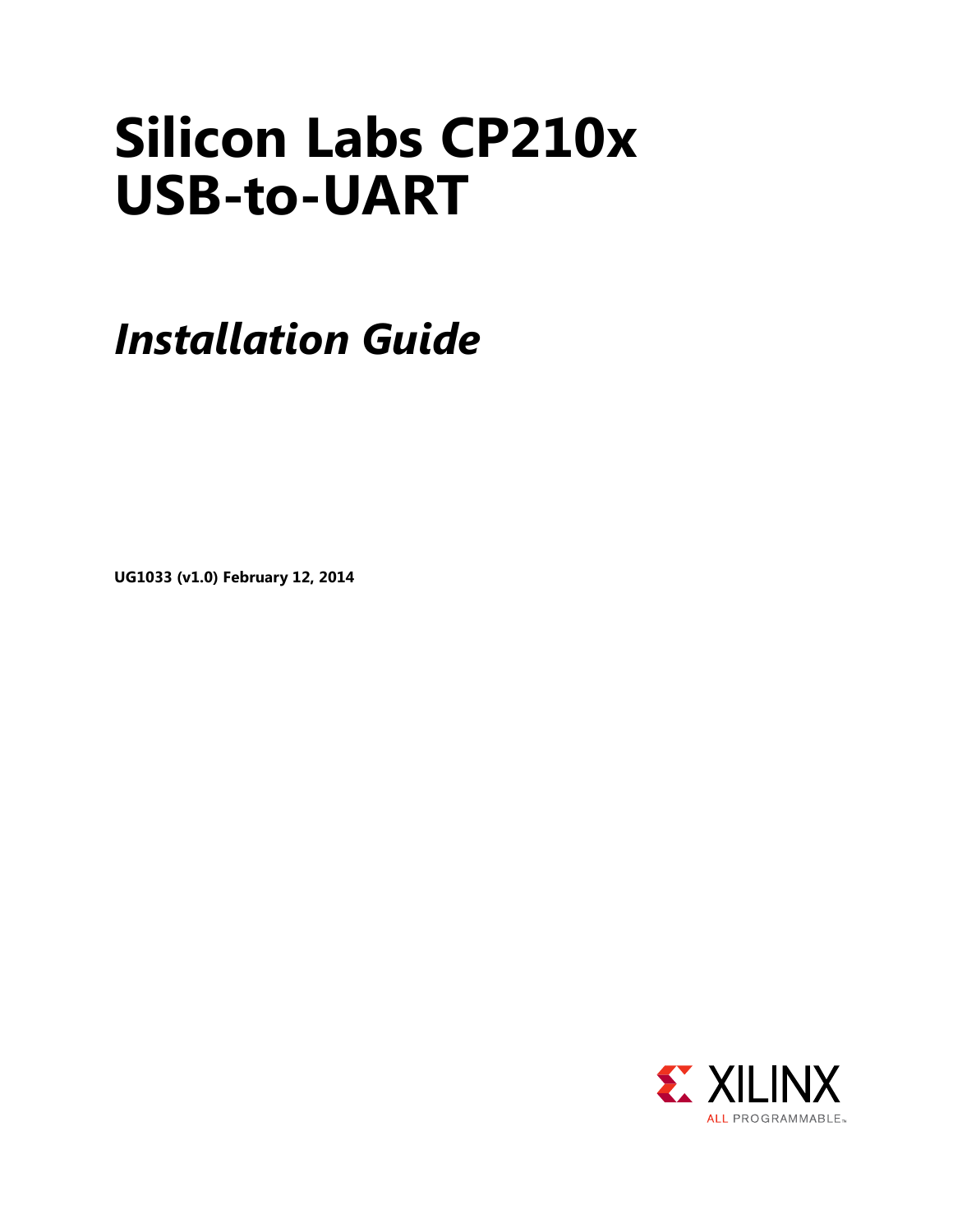# **Silicon Labs CP210x USB-to-UART**

*Installation Guide*

**UG1033 (v1.0) February 12, 2014**

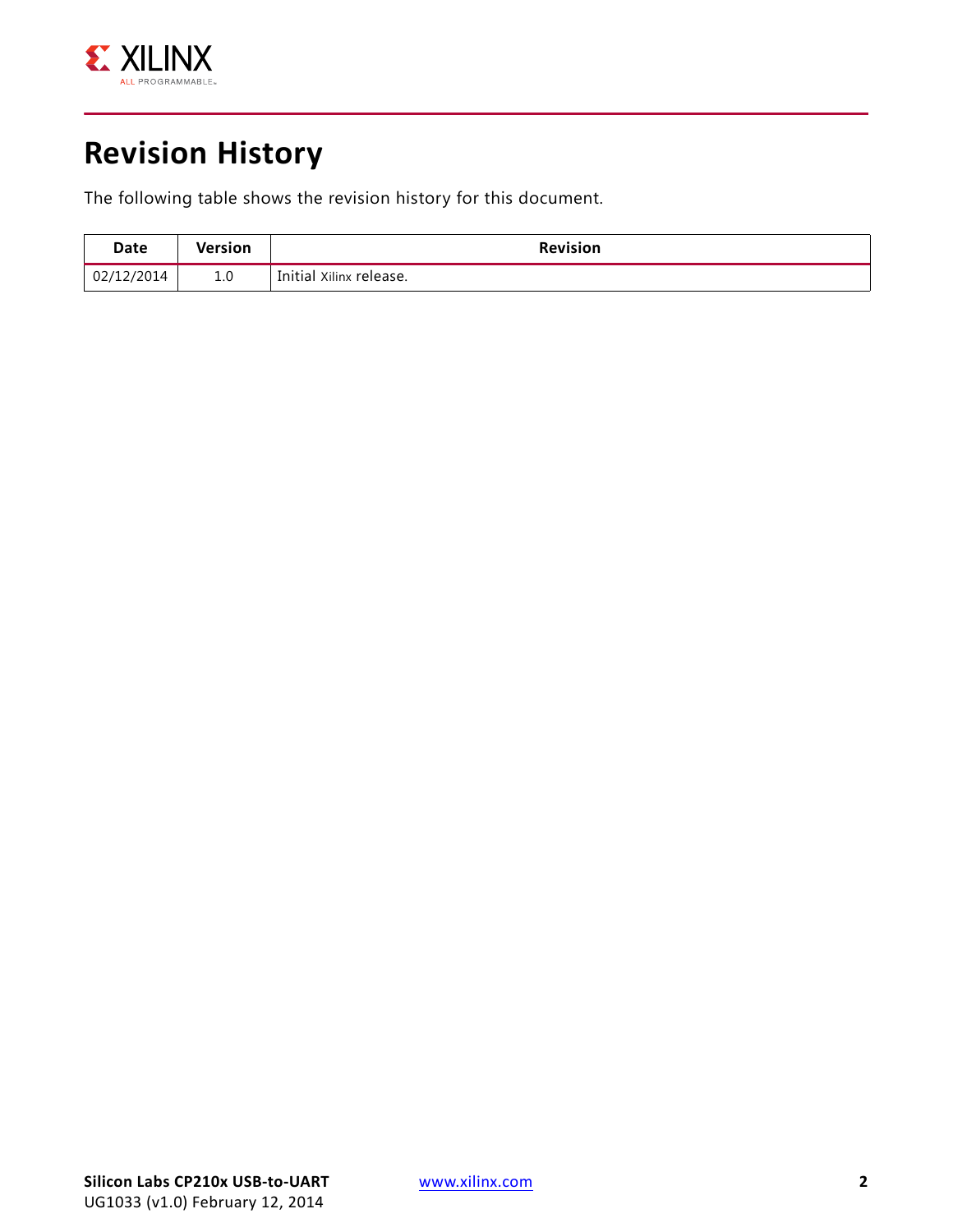

### **Revision History**

The following table shows the revision history for this document.

| Date       | <b>Version</b> | <b>Revision</b>         |
|------------|----------------|-------------------------|
| 02/12/2014 | 1.0            | Initial Xilinx release. |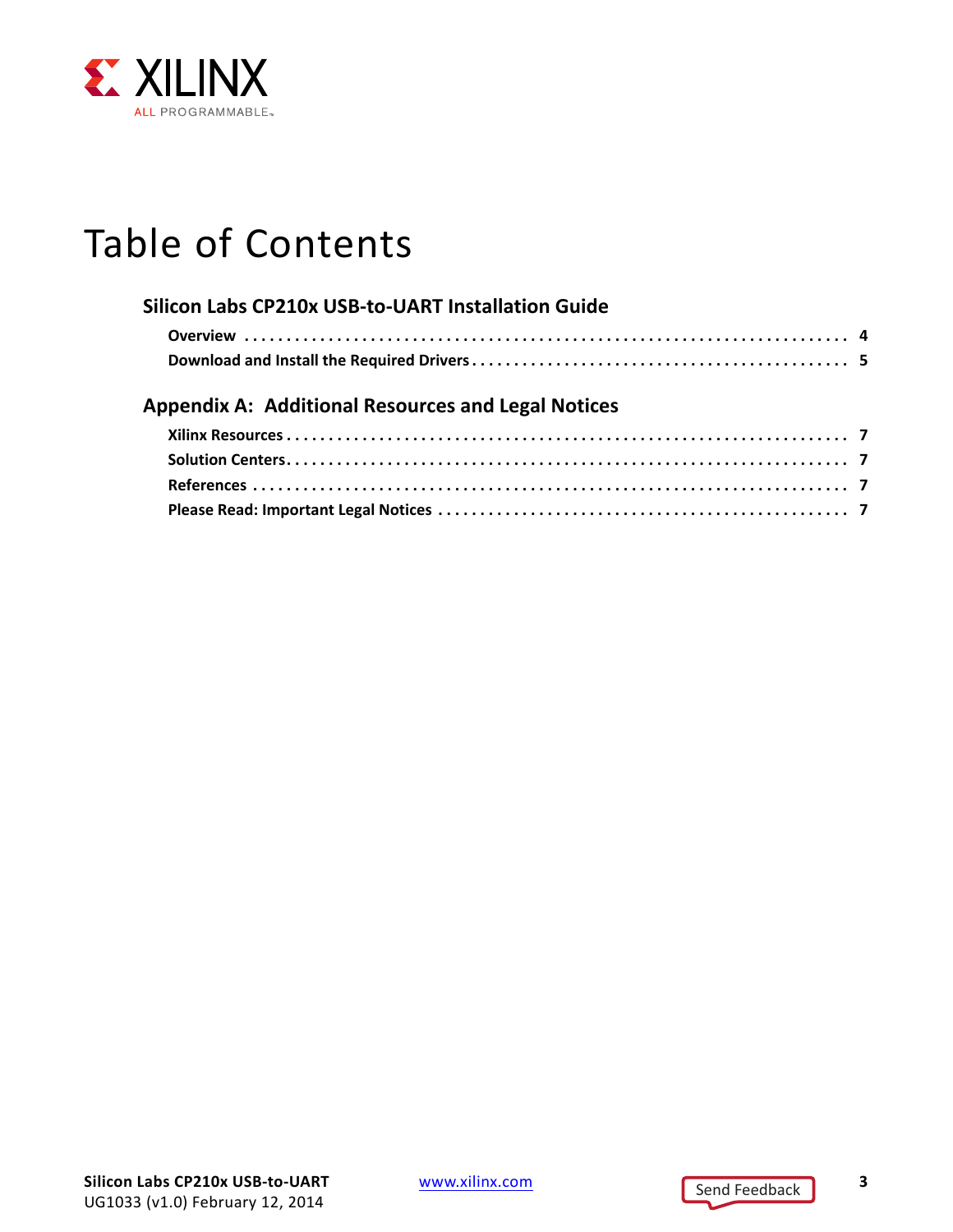

## Table of Contents

| Silicon Labs CP210x USB-to-UART Installation Guide        |  |
|-----------------------------------------------------------|--|
|                                                           |  |
|                                                           |  |
| <b>Appendix A: Additional Resources and Legal Notices</b> |  |
|                                                           |  |
|                                                           |  |
|                                                           |  |
|                                                           |  |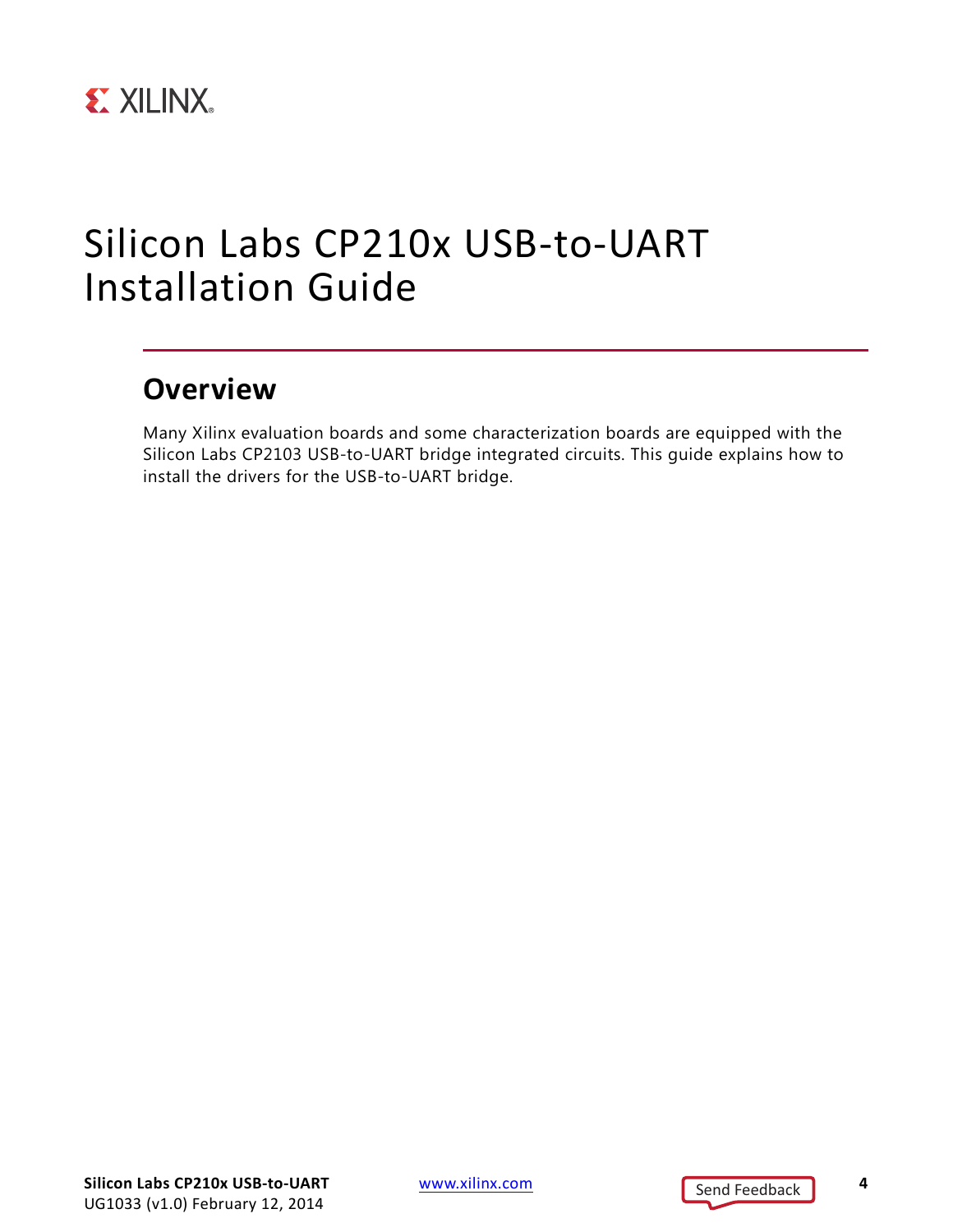

### <span id="page-3-0"></span>Silicon Labs CP210x USB-to-UART Installation Guide

### <span id="page-3-1"></span>**Overview**

Many Xilinx evaluation boards and some characterization boards are equipped with the Silicon Labs CP2103 USB-to-UART bridge integrated circuits. This guide explains how to install the drivers for the USB-to-UART bridge.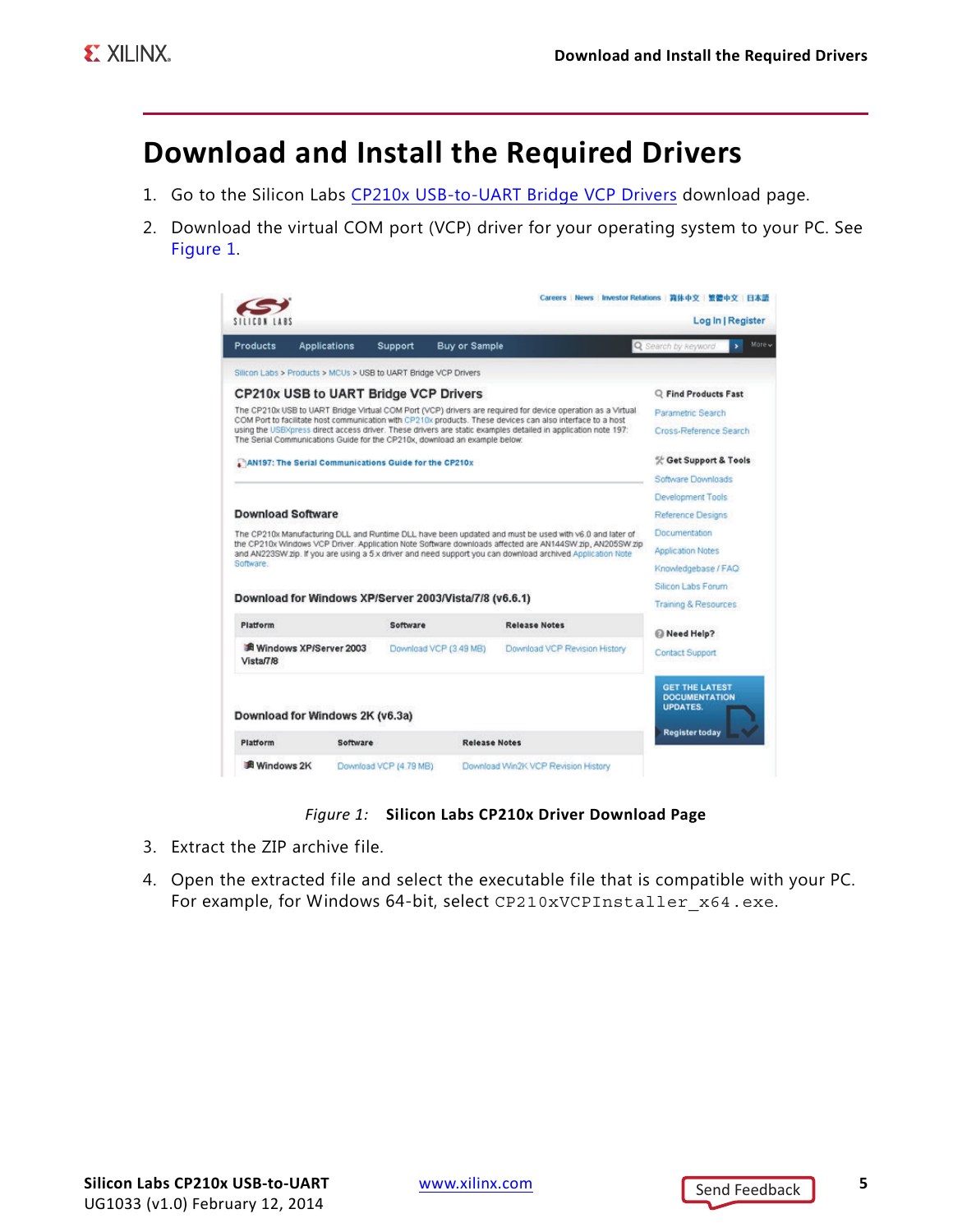### <span id="page-4-0"></span>**Download and Install the Required Drivers**

- 1. Go to the Silicon Labs [CP210x USB-to-UART Bridge VCP Drivers](http://www.silabs.com/products/mcu/pages/usbtouartbridgevcpdrivers.aspx) download page.
- <span id="page-4-1"></span>2. Download the virtual COM port (VCP) driver for your operating system to your PC. See [Figure 1.](#page-4-1)

| Products                                                                                                                                                                                                                  | <b>Applications</b>    | Support  | <b>Buy or Sample</b>   |                                                                                                                                                                                                                        | More.<br>Q Search by keyword<br>s.            |
|---------------------------------------------------------------------------------------------------------------------------------------------------------------------------------------------------------------------------|------------------------|----------|------------------------|------------------------------------------------------------------------------------------------------------------------------------------------------------------------------------------------------------------------|-----------------------------------------------|
| Silicon Labs > Products > MCUs > USB to UART Bridge VCP Drivers                                                                                                                                                           |                        |          |                        |                                                                                                                                                                                                                        |                                               |
| <b>CP210x USB to UART Bridge VCP Drivers</b>                                                                                                                                                                              |                        |          |                        |                                                                                                                                                                                                                        | C Find Products Fast                          |
| The CP210x USB to UART Bridge Virtual COM Port (VCP) drivers are required for device operation as a Virtual<br>COM Port to facilitate host communication with CP210x products. These devices can also interface to a host | Parametric Search      |          |                        |                                                                                                                                                                                                                        |                                               |
| using the USBXpress direct access driver. These drivers are static examples detailed in application note 197:<br>The Serial Communications Guide for the CP210x, download an example below:                               | Cross-Reference Search |          |                        |                                                                                                                                                                                                                        |                                               |
| AN197: The Serial Communications Guide for the CP210x                                                                                                                                                                     | 災 Get Support & Tools  |          |                        |                                                                                                                                                                                                                        |                                               |
|                                                                                                                                                                                                                           |                        |          |                        |                                                                                                                                                                                                                        | Software Downloads                            |
|                                                                                                                                                                                                                           |                        |          |                        |                                                                                                                                                                                                                        | Development Tools                             |
| <b>Download Software</b>                                                                                                                                                                                                  | Reference Designs      |          |                        |                                                                                                                                                                                                                        |                                               |
|                                                                                                                                                                                                                           |                        |          |                        |                                                                                                                                                                                                                        |                                               |
|                                                                                                                                                                                                                           |                        |          |                        | The CP210x Manufacturing DLL and Runtime DLL have been updated and must be used with v6.0 and later of                                                                                                                 | Documentation                                 |
|                                                                                                                                                                                                                           |                        |          |                        | the CP210x Windows VCP Driver. Application Note Software downloads affected are AN144SW zip, AN205SW zip<br>and AN223SW zip. If you are using a 5 x driver and need support you can download archived Application Note | <b>Application Notes</b>                      |
| Software.                                                                                                                                                                                                                 |                        |          |                        |                                                                                                                                                                                                                        | Knowledgebase / FAQ                           |
|                                                                                                                                                                                                                           |                        |          |                        |                                                                                                                                                                                                                        | Silicon Labs Forum                            |
| Download for Windows XP/Server 2003/Vista/7/8 (v6.6.1)                                                                                                                                                                    |                        |          |                        |                                                                                                                                                                                                                        | Training & Resources                          |
| Platform                                                                                                                                                                                                                  |                        | Software |                        | <b>Release Notes</b>                                                                                                                                                                                                   | Meed Help?                                    |
| Vista/7/8                                                                                                                                                                                                                 | Windows XP/Server 2003 |          | Download VCP (3.49 MB) | Download VCP Revision History                                                                                                                                                                                          | Contact Support                               |
|                                                                                                                                                                                                                           |                        |          |                        |                                                                                                                                                                                                                        | <b>GET THE LATEST</b><br><b>DOCUMENTATION</b> |
| Download for Windows 2K (v6.3a)                                                                                                                                                                                           |                        |          |                        |                                                                                                                                                                                                                        | <b>UPDATES.</b>                               |
| Platform                                                                                                                                                                                                                  | Software               |          | <b>Release Notes</b>   |                                                                                                                                                                                                                        | <b>Register today</b>                         |

#### *Figure 1:* **Silicon Labs CP210x Driver Download Page**

- 3. Extract the ZIP archive file.
- 4. Open the extracted file and select the executable file that is compatible with your PC. For example, for Windows 64-bit, select CP210xVCPInstaller\_x64.exe.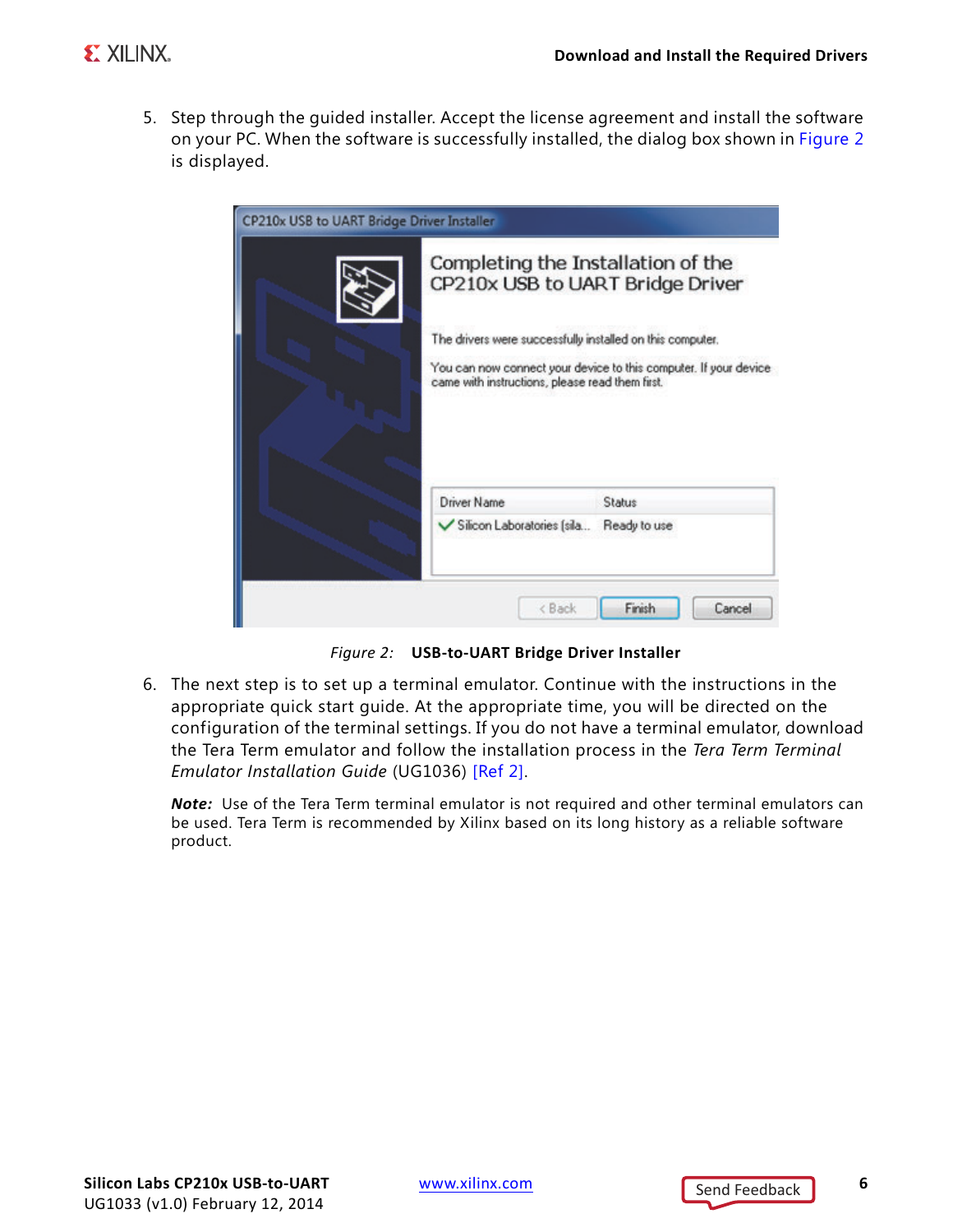5. Step through the guided installer. Accept the license agreement and install the software on your PC. When the software is successfully installed, the dialog box shown in [Figure 2](#page-5-0) is displayed.

<span id="page-5-0"></span>

*Figure 2:* **USB-to-UART Bridge Driver Installer**

6. The next step is to set up a terminal emulator. Continue with the instructions in the appropriate quick start guide. At the appropriate time, you will be directed on the configuration of the terminal settings. If you do not have a terminal emulator, download the Tera Term emulator and follow the installation process in the *Tera Term Terminal Emulator Installation Guide* (UG1036) [\[Ref 2\].](#page-6-5)

*Note:* Use of the Tera Term terminal emulator is not required and other terminal emulators can be used. Tera Term is recommended by Xilinx based on its long history as a reliable software product.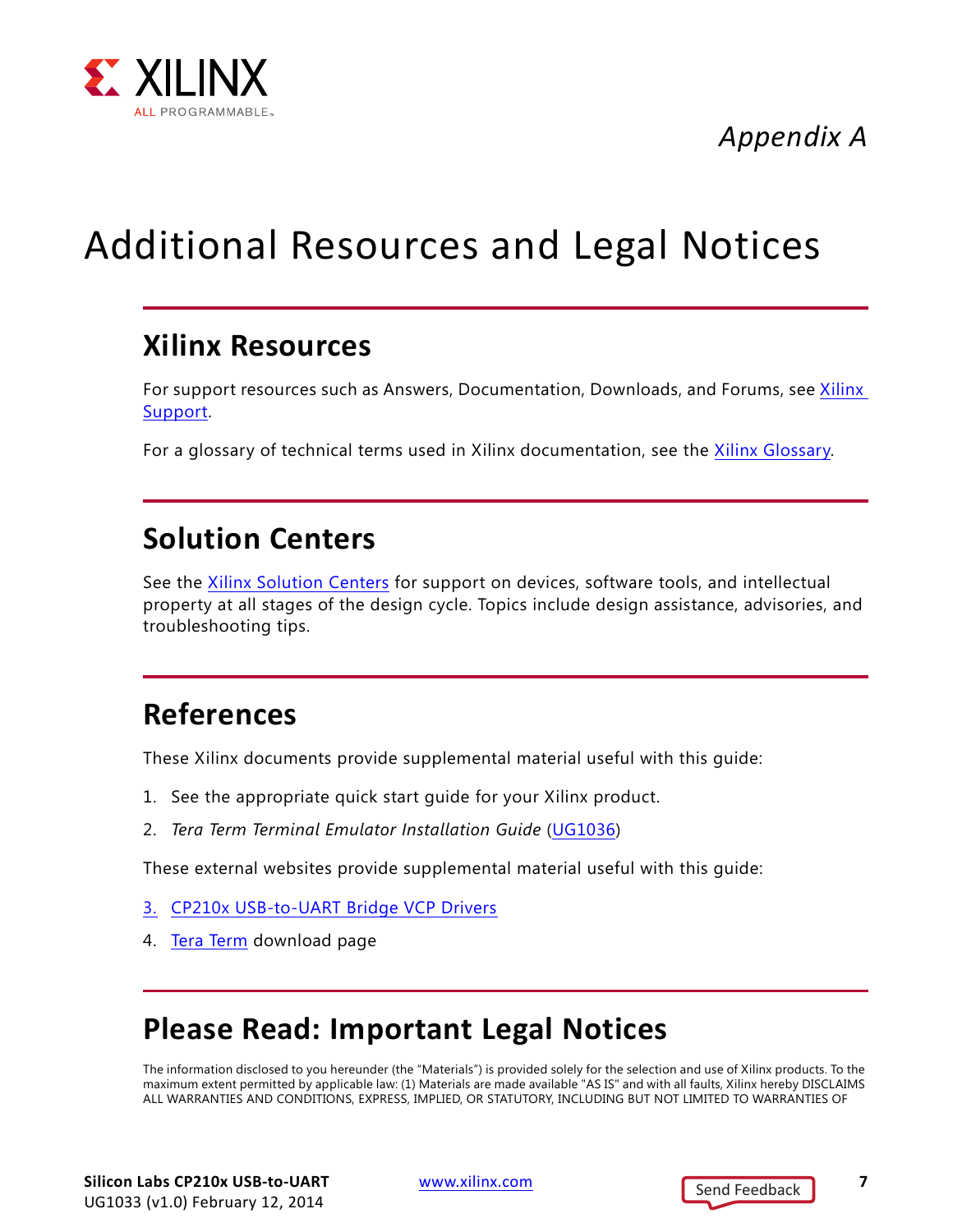

*Appendix A*

## <span id="page-6-0"></span>Additional Resources and Legal Notices

#### <span id="page-6-1"></span>**Xilinx Resources**

For support resources such as Answers, Documentation, Downloads, and Forums, see [Xilinx](http://www.xilinx.com/support)  [Support.](http://www.xilinx.com/support)

For a glossary of technical terms used in Xilinx documentation, see the [Xilinx Glossary.](http://www.xilinx.com/company/terms.htm)

### <span id="page-6-2"></span>**Solution Centers**

See the [Xilinx Solution Centers](http://www.xilinx.com/support/solcenters.htm) for support on devices, software tools, and intellectual property at all stages of the design cycle. Topics include design assistance, advisories, and troubleshooting tips.

### <span id="page-6-3"></span>**References**

These Xilinx documents provide supplemental material useful with this guide:

- 1. See the appropriate quick start guide for your Xilinx product.
- <span id="page-6-5"></span>2. *Tera Term Terminal Emulator Installation Guide* ([UG1036\)](http://www.xilinx.com/support/documentation/boards_and_kits/install/ug1036-tera-term-install.pdf)

These external websites provide supplemental material useful with this guide:

- 3. [CP210x USB-to-UART Bridge VCP Drivers](http://www.silabs.com/products/mcu/pages/usbtouartbridgevcpdrivers.aspx)
- 4. [Tera](http://logmett.com/index.php?/download/tera-term-480-freeware.html) [Term](http://logmett.com/freeware/TeraTerm.php) download page

### <span id="page-6-4"></span>**Please Read: Important Legal Notices**

The information disclosed to you hereunder (the "Materials") is provided solely for the selection and use of Xilinx products. To the maximum extent permitted by applicable law: (1) Materials are made available "AS IS" and with all faults, Xilinx hereby DISCLAIMS ALL WARRANTIES AND CONDITIONS, EXPRESS, IMPLIED, OR STATUTORY, INCLUDING BUT NOT LIMITED TO WARRANTIES OF